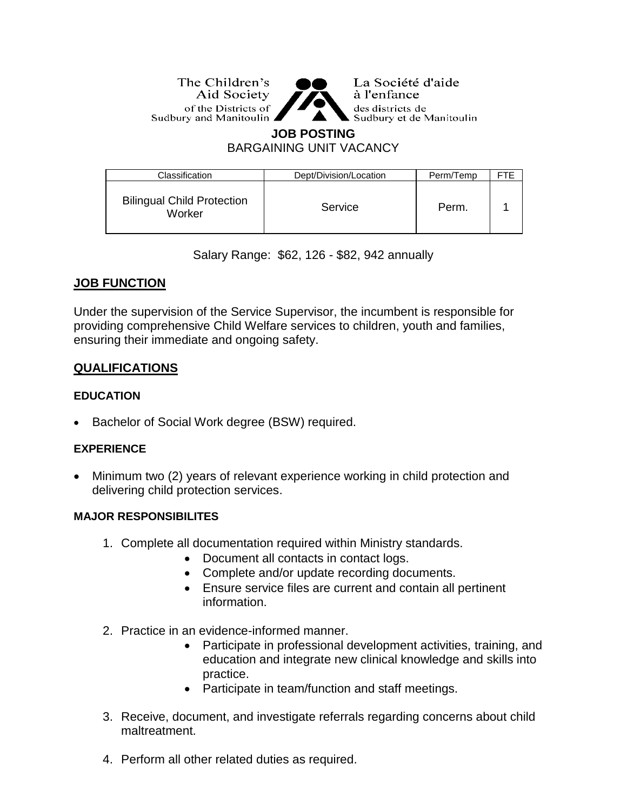The Children's Aid Society of the Districts of Sudbury and Manitoulin ▲



La Société d'aide à l'enfance des districts de Sudbury et de Manitoulin

# **JOB POSTING**

BARGAINING UNIT VACANCY

| Classification                              | Dept/Division/Location | Perm/Temp |  |
|---------------------------------------------|------------------------|-----------|--|
| <b>Bilingual Child Protection</b><br>Worker | Service                | Perm.     |  |

Salary Range: \$62, 126 - \$82, 942 annually

# **JOB FUNCTION**

Under the supervision of the Service Supervisor, the incumbent is responsible for providing comprehensive Child Welfare services to children, youth and families, ensuring their immediate and ongoing safety.

# **QUALIFICATIONS**

## **EDUCATION**

Bachelor of Social Work degree (BSW) required.

## **EXPERIENCE**

 Minimum two (2) years of relevant experience working in child protection and delivering child protection services.

## **MAJOR RESPONSIBILITES**

- 1. Complete all documentation required within Ministry standards.
	- Document all contacts in contact logs.
	- Complete and/or update recording documents.
	- Ensure service files are current and contain all pertinent information.
- 2. Practice in an evidence-informed manner.
	- Participate in professional development activities, training, and education and integrate new clinical knowledge and skills into practice.
	- Participate in team/function and staff meetings.
- 3. Receive, document, and investigate referrals regarding concerns about child maltreatment.
- 4. Perform all other related duties as required.